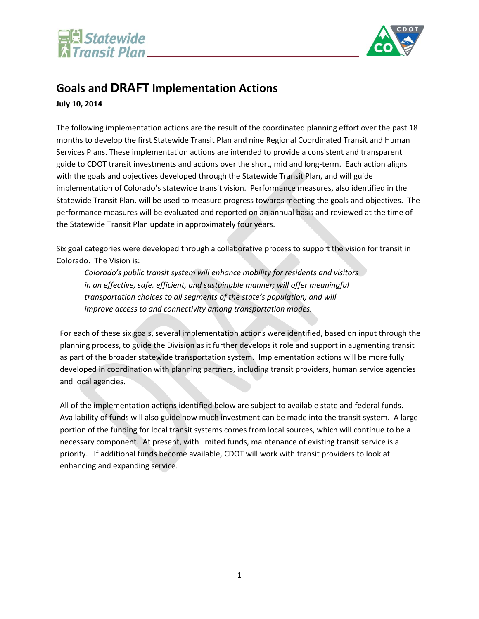



# **Goals and DRAFT Implementation Actions**

**July 10, 2014**

The following implementation actions are the result of the coordinated planning effort over the past 18 months to develop the first Statewide Transit Plan and nine Regional Coordinated Transit and Human Services Plans. These implementation actions are intended to provide a consistent and transparent guide to CDOT transit investments and actions over the short, mid and long-term. Each action aligns with the goals and objectives developed through the Statewide Transit Plan, and will guide implementation of Colorado's statewide transit vision. Performance measures, also identified in the Statewide Transit Plan, will be used to measure progress towards meeting the goals and objectives. The performance measures will be evaluated and reported on an annual basis and reviewed at the time of the Statewide Transit Plan update in approximately four years.

Six goal categories were developed through a collaborative process to support the vision for transit in Colorado. The Vision is:

*Colorado's public transit system will enhance mobility for residents and visitors in an effective, safe, efficient, and sustainable manner; will offer meaningful transportation choices to all segments of the state's population; and will improve access to and connectivity among transportation modes.*

For each of these six goals, several implementation actions were identified, based on input through the planning process, to guide the Division as it further develops it role and support in augmenting transit as part of the broader statewide transportation system. Implementation actions will be more fully developed in coordination with planning partners, including transit providers, human service agencies and local agencies.

All of the implementation actions identified below are subject to available state and federal funds. Availability of funds will also guide how much investment can be made into the transit system. A large portion of the funding for local transit systems comes from local sources, which will continue to be a necessary component. At present, with limited funds, maintenance of existing transit service is a priority. If additional funds become available, CDOT will work with transit providers to look at enhancing and expanding service.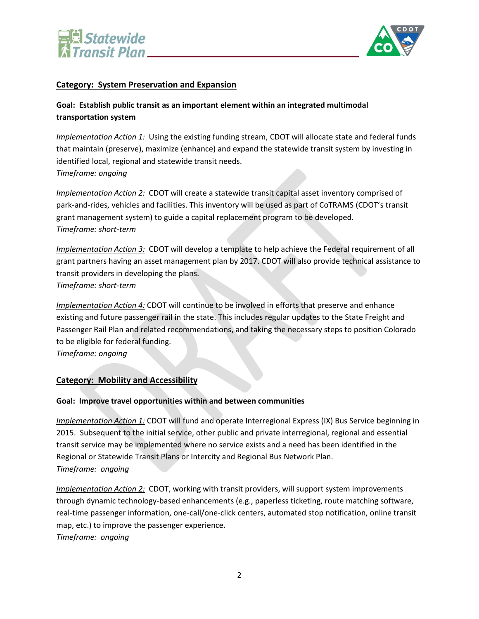



#### **Category: System Preservation and Expansion**

**Goal: Establish public transit as an important element within an integrated multimodal transportation system**

*Implementation Action 1:* Using the existing funding stream, CDOT will allocate state and federal funds that maintain (preserve), maximize (enhance) and expand the statewide transit system by investing in identified local, regional and statewide transit needs. *Timeframe: ongoing*

*Implementation Action 2:* CDOT will create a statewide transit capital asset inventory comprised of park-and-rides, vehicles and facilities. This inventory will be used as part of CoTRAMS (CDOT's transit grant management system) to guide a capital replacement program to be developed. *Timeframe: short-term*

*Implementation Action 3:* CDOT will develop a template to help achieve the Federal requirement of all grant partners having an asset management plan by 2017. CDOT will also provide technical assistance to transit providers in developing the plans. *Timeframe: short-term*

*Implementation Action 4:* CDOT will continue to be involved in efforts that preserve and enhance existing and future passenger rail in the state. This includes regular updates to the State Freight and Passenger Rail Plan and related recommendations, and taking the necessary steps to position Colorado to be eligible for federal funding.

*Timeframe: ongoing*

# **Category: Mobility and Accessibility**

#### **Goal: Improve travel opportunities within and between communities**

*Implementation Action 1: CDOT will fund and operate Interregional Express (IX) Bus Service beginning in* 2015. Subsequent to the initial service, other public and private interregional, regional and essential transit service may be implemented where no service exists and a need has been identified in the Regional or Statewide Transit Plans or Intercity and Regional Bus Network Plan. *Timeframe: ongoing*

*Implementation Action 2:* CDOT, working with transit providers, will support system improvements through dynamic technology-based enhancements (e.g., paperless ticketing, route matching software, real-time passenger information, one-call/one-click centers, automated stop notification, online transit map, etc.) to improve the passenger experience. *Timeframe: ongoing*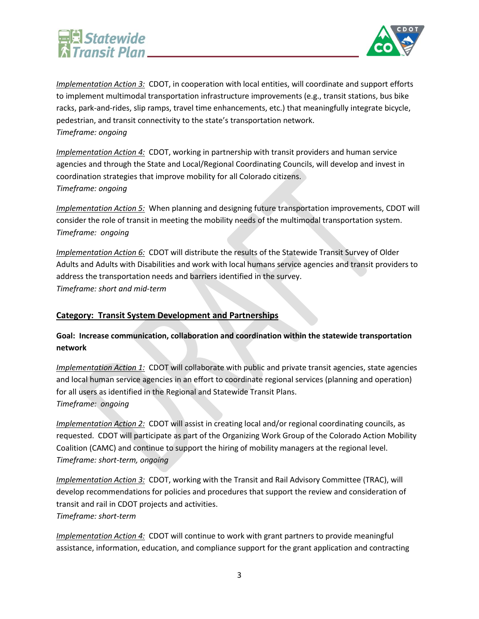



*Implementation Action 3:* CDOT, in cooperation with local entities, will coordinate and support efforts to implement multimodal transportation infrastructure improvements (e.g., transit stations, bus bike racks, park-and-rides, slip ramps, travel time enhancements, etc.) that meaningfully integrate bicycle, pedestrian, and transit connectivity to the state's transportation network. *Timeframe: ongoing*

*Implementation Action 4:* CDOT, working in partnership with transit providers and human service agencies and through the State and Local/Regional Coordinating Councils, will develop and invest in coordination strategies that improve mobility for all Colorado citizens. *Timeframe: ongoing*

*Implementation Action 5:* When planning and designing future transportation improvements, CDOT will consider the role of transit in meeting the mobility needs of the multimodal transportation system. *Timeframe: ongoing*

*Implementation Action 6:* CDOT will distribute the results of the Statewide Transit Survey of Older Adults and Adults with Disabilities and work with local humans service agencies and transit providers to address the transportation needs and barriers identified in the survey. *Timeframe: short and mid-term* 

# **Category: Transit System Development and Partnerships**

**Goal: Increase communication, collaboration and coordination within the statewide transportation network**

*Implementation Action 1:* CDOT will collaborate with public and private transit agencies, state agencies and local human service agencies in an effort to coordinate regional services (planning and operation) for all users as identified in the Regional and Statewide Transit Plans. *Timeframe: ongoing*

*Implementation Action 2:* CDOT will assist in creating local and/or regional coordinating councils, as requested. CDOT will participate as part of the Organizing Work Group of the Colorado Action Mobility Coalition (CAMC) and continue to support the hiring of mobility managers at the regional level. *Timeframe: short-term, ongoing*

*Implementation Action 3:* CDOT, working with the Transit and Rail Advisory Committee (TRAC), will develop recommendations for policies and procedures that support the review and consideration of transit and rail in CDOT projects and activities. *Timeframe: short-term*

*Implementation Action 4:* CDOT will continue to work with grant partners to provide meaningful assistance, information, education, and compliance support for the grant application and contracting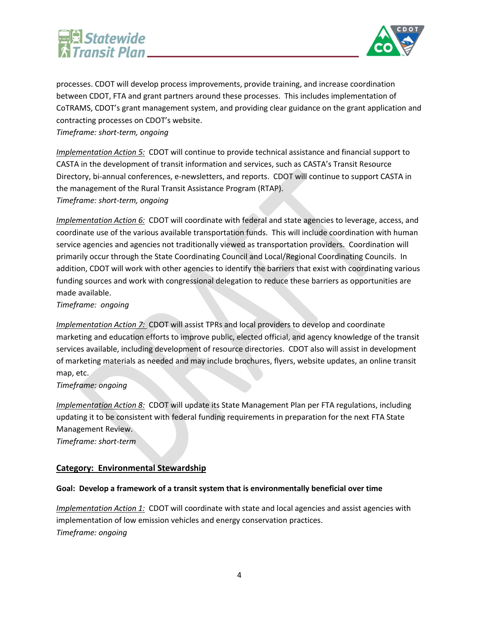



processes. CDOT will develop process improvements, provide training, and increase coordination between CDOT, FTA and grant partners around these processes. This includes implementation of CoTRAMS, CDOT's grant management system, and providing clear guidance on the grant application and contracting processes on CDOT's website.

*Timeframe: short-term, ongoing*

*Implementation Action 5:* CDOT will continue to provide technical assistance and financial support to CASTA in the development of transit information and services, such as CASTA's Transit Resource Directory, bi-annual conferences, e-newsletters, and reports. CDOT will continue to support CASTA in the management of the Rural Transit Assistance Program (RTAP). *Timeframe: short-term, ongoing*

*Implementation Action 6:* CDOT will coordinate with federal and state agencies to leverage, access, and coordinate use of the various available transportation funds. This will include coordination with human service agencies and agencies not traditionally viewed as transportation providers. Coordination will primarily occur through the State Coordinating Council and Local/Regional Coordinating Councils. In addition, CDOT will work with other agencies to identify the barriers that exist with coordinating various funding sources and work with congressional delegation to reduce these barriers as opportunities are made available.

#### *Timeframe: ongoing*

*Implementation Action 7:* CDOT will assist TPRs and local providers to develop and coordinate marketing and education efforts to improve public, elected official, and agency knowledge of the transit services available, including development of resource directories. CDOT also will assist in development of marketing materials as needed and may include brochures, flyers, website updates, an online transit map, etc.

*Timeframe: ongoing*

*Implementation Action 8:* CDOT will update its State Management Plan per FTA regulations, including updating it to be consistent with federal funding requirements in preparation for the next FTA State Management Review.

*Timeframe: short-term*

# **Category: Environmental Stewardship**

#### **Goal: Develop a framework of a transit system that is environmentally beneficial over time**

*Implementation Action 1:* CDOT will coordinate with state and local agencies and assist agencies with implementation of low emission vehicles and energy conservation practices. *Timeframe: ongoing*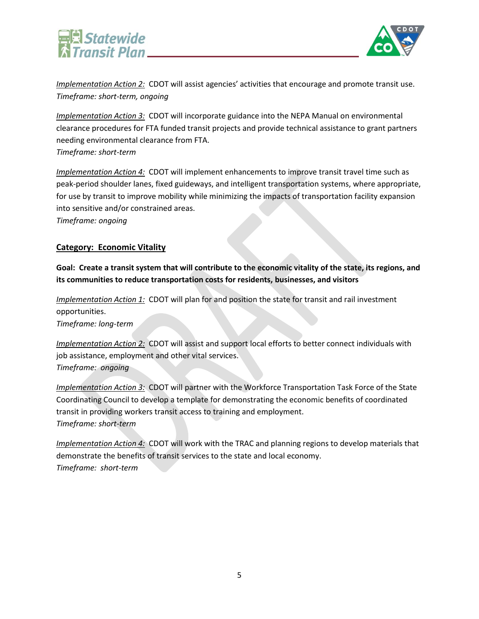



*Implementation Action 2:* CDOT will assist agencies' activities that encourage and promote transit use. *Timeframe: short-term, ongoing*

*Implementation Action 3:* CDOT will incorporate guidance into the NEPA Manual on environmental clearance procedures for FTA funded transit projects and provide technical assistance to grant partners needing environmental clearance from FTA. *Timeframe: short-term*

*Implementation Action 4:* CDOT will implement enhancements to improve transit travel time such as peak-period shoulder lanes, fixed guideways, and intelligent transportation systems, where appropriate, for use by transit to improve mobility while minimizing the impacts of transportation facility expansion into sensitive and/or constrained areas.

*Timeframe: ongoing*

# **Category: Economic Vitality**

**Goal: Create a transit system that will contribute to the economic vitality of the state, its regions, and its communities to reduce transportation costs for residents, businesses, and visitors**

*Implementation Action 1:* CDOT will plan for and position the state for transit and rail investment opportunities.

*Timeframe: long-term*

*Implementation Action 2:* CDOT will assist and support local efforts to better connect individuals with job assistance, employment and other vital services. *Timeframe: ongoing*

*Implementation Action 3:* CDOT will partner with the Workforce Transportation Task Force of the State Coordinating Council to develop a template for demonstrating the economic benefits of coordinated transit in providing workers transit access to training and employment. *Timeframe: short-term*

*Implementation Action 4:* CDOT will work with the TRAC and planning regions to develop materials that demonstrate the benefits of transit services to the state and local economy. *Timeframe: short-term*